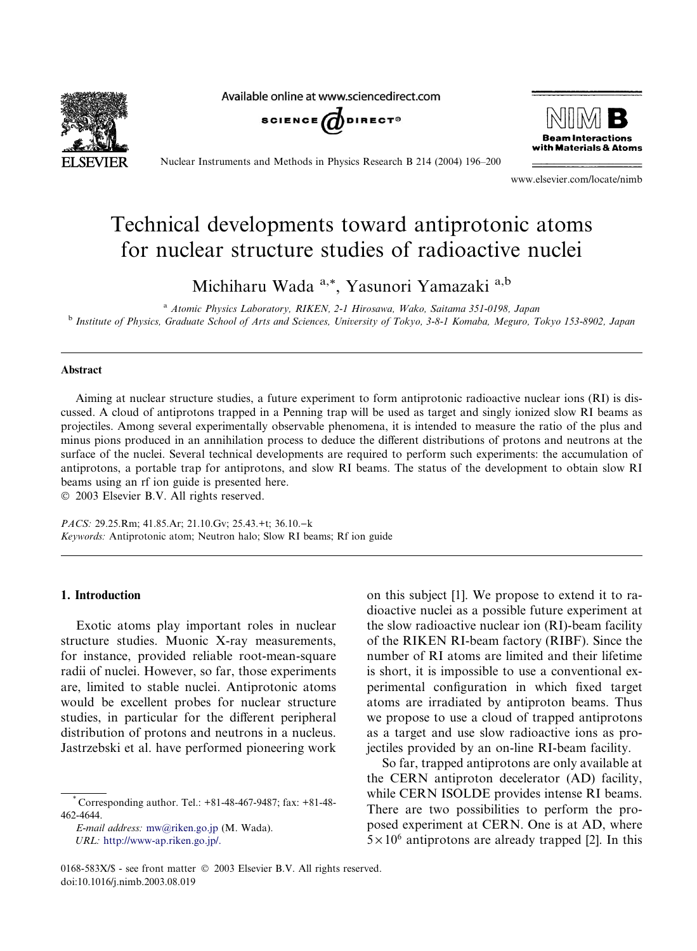Available online at www.sciencedirect.com





Nuclear Instruments and Methods in Physics Research B 214 (2004) 196–200

www.elsevier.com/locate/nimb

# Technical developments toward antiprotonic atoms for nuclear structure studies of radioactive nuclei

Michiharu Wada<sup>a,\*</sup>, Yasunori Yamazaki<sup>a,b</sup>

<sup>a</sup> Atomic Physics Laboratory, RIKEN, 2-1 Hirosawa, Wako, Saitama 351-0198, Japan <sup>b</sup> Institute of Physics, Graduate School of Arts and Sciences, University of Tokyo, 3-8-1 Komaba, Meguro, Tokyo 153-8902, Japan

## Abstract

Aiming at nuclear structure studies, a future experiment to form antiprotonic radioactive nuclear ions (RI) is discussed. A cloud of antiprotons trapped in a Penning trap will be used as target and singly ionized slow RI beams as projectiles. Among several experimentally observable phenomena, it is intended to measure the ratio of the plus and minus pions produced in an annihilation process to deduce the different distributions of protons and neutrons at the surface of the nuclei. Several technical developments are required to perform such experiments: the accumulation of antiprotons, a portable trap for antiprotons, and slow RI beams. The status of the development to obtain slow RI beams using an rf ion guide is presented here.

2003 Elsevier B.V. All rights reserved.

PACS: 29.25.Rm; 41.85.Ar; 21.10.Gv; 25.43.+t; 36.10.-k Keywords: Antiprotonic atom; Neutron halo; Slow RI beams; Rf ion guide

## 1. Introduction

Exotic atoms play important roles in nuclear structure studies. Muonic X-ray measurements, for instance, provided reliable root-mean-square radii of nuclei. However, so far, those experiments are, limited to stable nuclei. Antiprotonic atoms would be excellent probes for nuclear structure studies, in particular for the different peripheral distribution of protons and neutrons in a nucleus. Jastrzebski et al. have performed pioneering work

\* Corresponding author. Tel.: +81-48-467-9487; fax: +81-48- 462-4644.

E-mail address: [mw@riken.go.jp](mail to: mw@riken.go.jp) (M. Wada). URL: [http://www-ap.riken.go.jp/.](http://www-ap.riken.go.jp/)

on this subject [1]. We propose to extend it to radioactive nuclei as a possible future experiment at the slow radioactive nuclear ion (RI)-beam facility of the RIKEN RI-beam factory (RIBF). Since the number of RI atoms are limited and their lifetime is short, it is impossible to use a conventional experimental configuration in which fixed target atoms are irradiated by antiproton beams. Thus we propose to use a cloud of trapped antiprotons as a target and use slow radioactive ions as projectiles provided by an on-line RI-beam facility.

So far, trapped antiprotons are only available at the CERN antiproton decelerator (AD) facility, while CERN ISOLDE provides intense RI beams. There are two possibilities to perform the proposed experiment at CERN. One is at AD, where  $5 \times 10^6$  antiprotons are already trapped [2]. In this

<sup>0168-583</sup>X/\$ - see front matter  $\odot$  2003 Elsevier B.V. All rights reserved. doi:10.1016/j.nimb.2003.08.019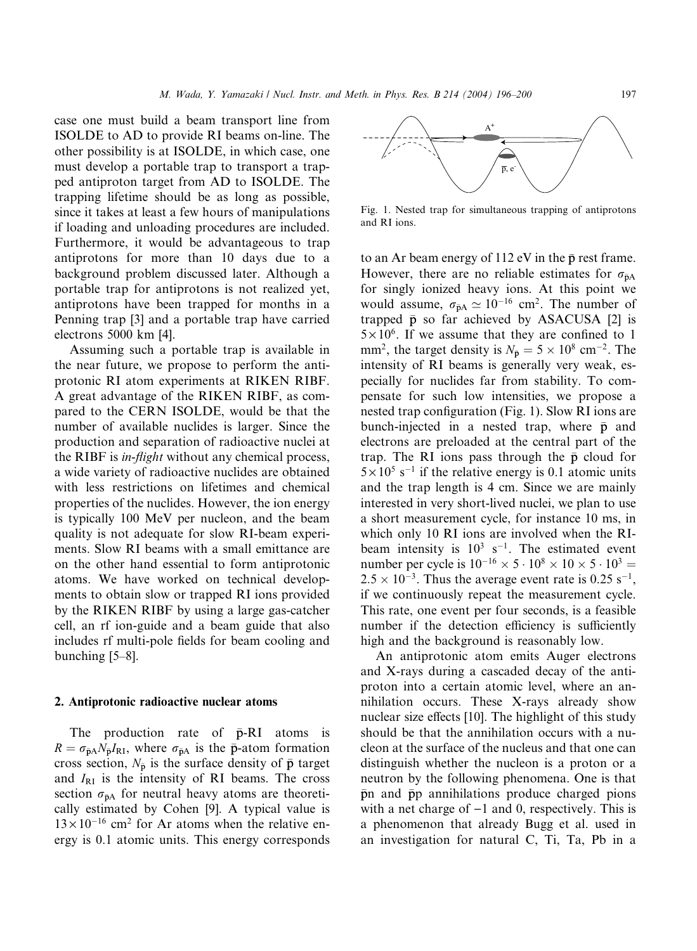case one must build a beam transport line from ISOLDE to AD to provide RI beams on-line. The other possibility is at ISOLDE, in which case, one must develop a portable trap to transport a trapped antiproton target from AD to ISOLDE. The trapping lifetime should be as long as possible, since it takes at least a few hours of manipulations if loading and unloading procedures are included. Furthermore, it would be advantageous to trap antiprotons for more than 10 days due to a background problem discussed later. Although a portable trap for antiprotons is not realized yet, antiprotons have been trapped for months in a Penning trap [3] and a portable trap have carried electrons 5000 km [4].

Assuming such a portable trap is available in the near future, we propose to perform the antiprotonic RI atom experiments at RIKEN RIBF. A great advantage of the RIKEN RIBF, as compared to the CERN ISOLDE, would be that the number of available nuclides is larger. Since the production and separation of radioactive nuclei at the RIBF is in-flight without any chemical process, a wide variety of radioactive nuclides are obtained with less restrictions on lifetimes and chemical properties of the nuclides. However, the ion energy is typically 100 MeV per nucleon, and the beam quality is not adequate for slow RI-beam experiments. Slow RI beams with a small emittance are on the other hand essential to form antiprotonic atoms. We have worked on technical developments to obtain slow or trapped RI ions provided by the RIKEN RIBF by using a large gas-catcher cell, an rf ion-guide and a beam guide that also includes rf multi-pole fields for beam cooling and bunching [5–8].

# 2. Antiprotonic radioactive nuclear atoms

The production rate of  $\bar{p}$ -RI atoms is  $R = \sigma_{\bar{p}A} N_{\bar{p}}I_{\rm RI}$ , where  $\sigma_{\bar{p}A}$  is the  $\bar{p}$ -atom formation cross section,  $N_{\bar{p}}$  is the surface density of  $\bar{p}$  target and  $I_{RI}$  is the intensity of RI beams. The cross section  $\sigma_{\bar{p}A}$  for neutral heavy atoms are theoretically estimated by Cohen [9]. A typical value is  $13 \times 10^{-16}$  cm<sup>2</sup> for Ar atoms when the relative energy is 0.1 atomic units. This energy corresponds



Fig. 1. Nested trap for simultaneous trapping of antiprotons and RI ions.

to an Ar beam energy of 112 eV in the  $\bar{p}$  rest frame. However, there are no reliable estimates for  $\sigma_{\bar{p}A}$ for singly ionized heavy ions. At this point we would assume,  $\sigma_{\bar{p}A} \simeq 10^{-16}$  cm<sup>2</sup>. The number of trapped  $\bar{p}$  so far achieved by ASACUSA [2] is  $5 \times 10^6$ . If we assume that they are confined to 1 mm<sup>2</sup>, the target density is  $N_{\bar{p}} = 5 \times 10^8$  cm<sup>-2</sup>. The intensity of RI beams is generally very weak, especially for nuclides far from stability. To compensate for such low intensities, we propose a nested trap configuration (Fig. 1). Slow RI ions are bunch-injected in a nested trap, where  $\bar{p}$  and electrons are preloaded at the central part of the trap. The RI ions pass through the  $\bar{p}$  cloud for  $5 \times 10^5$  s<sup>-1</sup> if the relative energy is 0.1 atomic units and the trap length is 4 cm. Since we are mainly interested in very short-lived nuclei, we plan to use a short measurement cycle, for instance 10 ms, in which only 10 RI ions are involved when the RIbeam intensity is  $10^3$  s<sup>-1</sup>. The estimated event number per cycle is  $10^{-16} \times 5 \cdot 10^8 \times 10 \times 5 \cdot 10^3 =$  $2.5 \times 10^{-3}$ . Thus the average event rate is 0.25 s<sup>-1</sup>, if we continuously repeat the measurement cycle. This rate, one event per four seconds, is a feasible number if the detection efficiency is sufficiently high and the background is reasonably low.

An antiprotonic atom emits Auger electrons and X-rays during a cascaded decay of the antiproton into a certain atomic level, where an annihilation occurs. These X-rays already show nuclear size effects [10]. The highlight of this study should be that the annihilation occurs with a nucleon at the surface of the nucleus and that one can distinguish whether the nucleon is a proton or a neutron by the following phenomena. One is that pn and pp annihilations produce charged pions with a net charge of  $-1$  and 0, respectively. This is a phenomenon that already Bugg et al. used in an investigation for natural C, Ti, Ta, Pb in a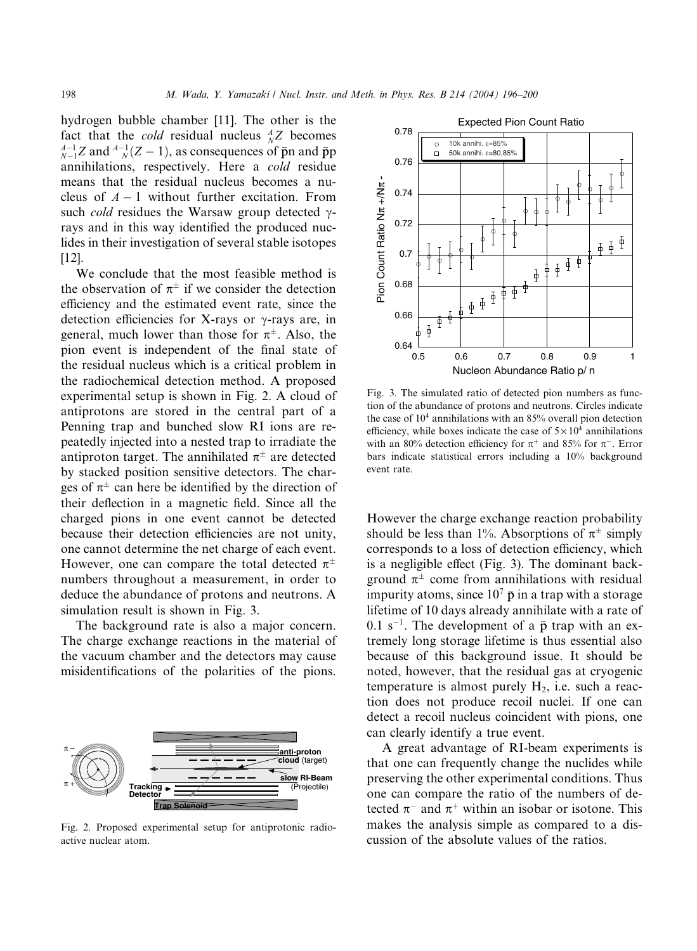hydrogen bubble chamber [11]. The other is the fact that the *cold* residual nucleus  ${}_{N}^{A}Z$  becomes fact that the *cold* residual nucleus  ${}_{N}^{A}Z$  becomes  ${}_{N-1}^{A-1}Z$  and  ${}_{N}^{A-1}Z$  and  ${}_{N}^{A}Z$  and  ${}_{N}^{A}Z$ annihilations, respectively. Here a cold residue means that the residual nucleus becomes a nucleus of  $A - 1$  without further excitation. From such *cold* residues the Warsaw group detected  $\gamma$ rays and in this way identified the produced nuclides in their investigation of several stable isotopes [12].

We conclude that the most feasible method is the observation of  $\pi^{\pm}$  if we consider the detection efficiency and the estimated event rate, since the detection efficiencies for X-rays or  $\gamma$ -rays are, in general, much lower than those for  $\pi^{\pm}$ . Also, the pion event is independent of the final state of the residual nucleus which is a critical problem in the radiochemical detection method. A proposed experimental setup is shown in Fig. 2. A cloud of antiprotons are stored in the central part of a Penning trap and bunched slow RI ions are repeatedly injected into a nested trap to irradiate the antiproton target. The annihilated  $\pi^{\pm}$  are detected by stacked position sensitive detectors. The charges of  $\pi^{\pm}$  can here be identified by the direction of their deflection in a magnetic field. Since all the charged pions in one event cannot be detected because their detection efficiencies are not unity, one cannot determine the net charge of each event. However, one can compare the total detected  $\pi^{\pm}$ numbers throughout a measurement, in order to deduce the abundance of protons and neutrons. A simulation result is shown in Fig. 3.

The background rate is also a major concern. The charge exchange reactions in the material of the vacuum chamber and the detectors may cause misidentifications of the polarities of the pions.



Fig. 2. Proposed experimental setup for antiprotonic radioactive nuclear atom.



Fig. 3. The simulated ratio of detected pion numbers as function of the abundance of protons and neutrons. Circles indicate the case of 104 annihilations with an 85% overall pion detection efficiency, while boxes indicate the case of  $5 \times 10^4$  annihilations with an 80% detection efficiency for  $\pi^+$  and 85% for  $\pi^-$ . Error bars indicate statistical errors including a 10% background event rate.

However the charge exchange reaction probability should be less than 1%. Absorptions of  $\pi^{\pm}$  simply corresponds to a loss of detection efficiency, which is a negligible effect (Fig. 3). The dominant background  $\pi^{\pm}$  come from annihilations with residual impurity atoms, since  $10^7 \bar{p}$  in a trap with a storage lifetime of 10 days already annihilate with a rate of 0.1 s<sup>-1</sup>. The development of a  $\bar{p}$  trap with an extremely long storage lifetime is thus essential also because of this background issue. It should be noted, however, that the residual gas at cryogenic temperature is almost purely  $H_2$ , i.e. such a reaction does not produce recoil nuclei. If one can detect a recoil nucleus coincident with pions, one can clearly identify a true event.

A great advantage of RI-beam experiments is that one can frequently change the nuclides while preserving the other experimental conditions. Thus one can compare the ratio of the numbers of detected  $\pi^-$  and  $\pi^+$  within an isobar or isotone. This makes the analysis simple as compared to a discussion of the absolute values of the ratios.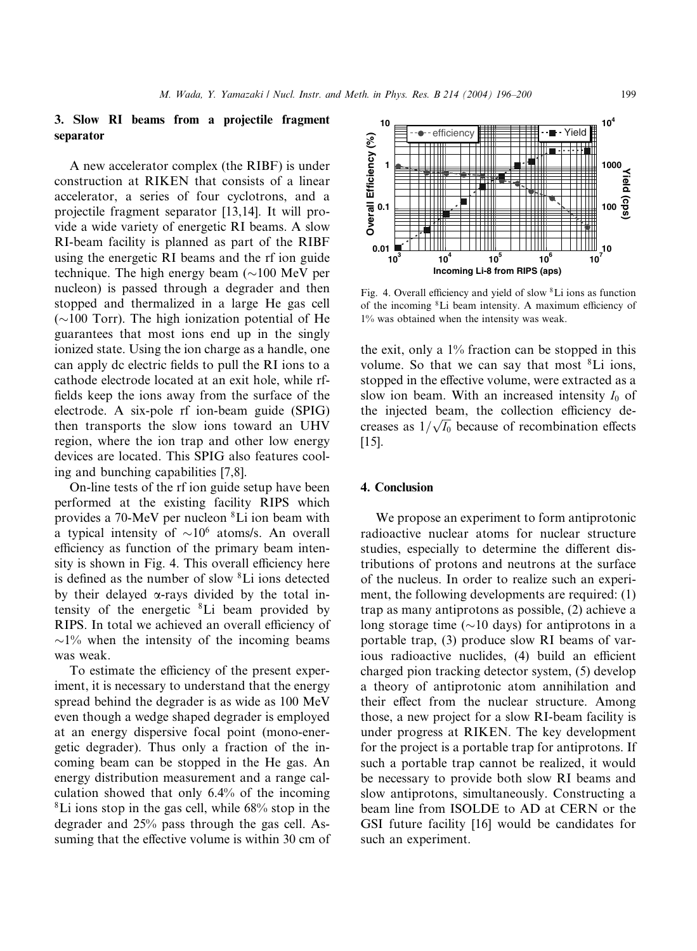# 3. Slow RI beams from a projectile fragment separator

A new accelerator complex (the RIBF) is under construction at RIKEN that consists of a linear accelerator, a series of four cyclotrons, and a projectile fragment separator [13,14]. It will provide a wide variety of energetic RI beams. A slow RI-beam facility is planned as part of the RIBF using the energetic RI beams and the rf ion guide technique. The high energy beam  $(\sim 100 \text{ MeV} \text{ per}$ nucleon) is passed through a degrader and then stopped and thermalized in a large He gas cell  $(\sim 100$  Torr). The high ionization potential of He guarantees that most ions end up in the singly ionized state. Using the ion charge as a handle, one can apply dc electric fields to pull the RI ions to a cathode electrode located at an exit hole, while rffields keep the ions away from the surface of the electrode. A six-pole rf ion-beam guide (SPIG) then transports the slow ions toward an UHV region, where the ion trap and other low energy devices are located. This SPIG also features cooling and bunching capabilities [7,8].

On-line tests of the rf ion guide setup have been performed at the existing facility RIPS which provides a 70-MeV per nucleon 8Li ion beam with a typical intensity of  $\sim 10^6$  atoms/s. An overall efficiency as function of the primary beam intensity is shown in Fig. 4. This overall efficiency here is defined as the number of slow 8Li ions detected by their delayed  $\alpha$ -rays divided by the total intensity of the energetic 8Li beam provided by RIPS. In total we achieved an overall efficiency of  $\sim$ 1% when the intensity of the incoming beams was weak.

To estimate the efficiency of the present experiment, it is necessary to understand that the energy spread behind the degrader is as wide as 100 MeV even though a wedge shaped degrader is employed at an energy dispersive focal point (mono-energetic degrader). Thus only a fraction of the incoming beam can be stopped in the He gas. An energy distribution measurement and a range calculation showed that only 6.4% of the incoming  ${}^{8}$ Li ions stop in the gas cell, while 68% stop in the degrader and 25% pass through the gas cell. Assuming that the effective volume is within 30 cm of



Fig. 4. Overall efficiency and yield of slow 8Li ions as function of the incoming 8Li beam intensity. A maximum efficiency of 1% was obtained when the intensity was weak.

the exit, only a 1% fraction can be stopped in this volume. So that we can say that most <sup>8</sup>Li ions, stopped in the effective volume, were extracted as a slow ion beam. With an increased intensity  $I_0$  of the injected beam, the collection efficiency dethe injected beam, the conection efficiency decreases as  $1/\sqrt{I_0}$  because of recombination effects  $[15]$ .

# 4. Conclusion

We propose an experiment to form antiprotonic radioactive nuclear atoms for nuclear structure studies, especially to determine the different distributions of protons and neutrons at the surface of the nucleus. In order to realize such an experiment, the following developments are required: (1) trap as many antiprotons as possible, (2) achieve a long storage time  $(\sim 10 \text{ days})$  for antiprotons in a portable trap, (3) produce slow RI beams of various radioactive nuclides, (4) build an efficient charged pion tracking detector system, (5) develop a theory of antiprotonic atom annihilation and their effect from the nuclear structure. Among those, a new project for a slow RI-beam facility is under progress at RIKEN. The key development for the project is a portable trap for antiprotons. If such a portable trap cannot be realized, it would be necessary to provide both slow RI beams and slow antiprotons, simultaneously. Constructing a beam line from ISOLDE to AD at CERN or the GSI future facility [16] would be candidates for such an experiment.